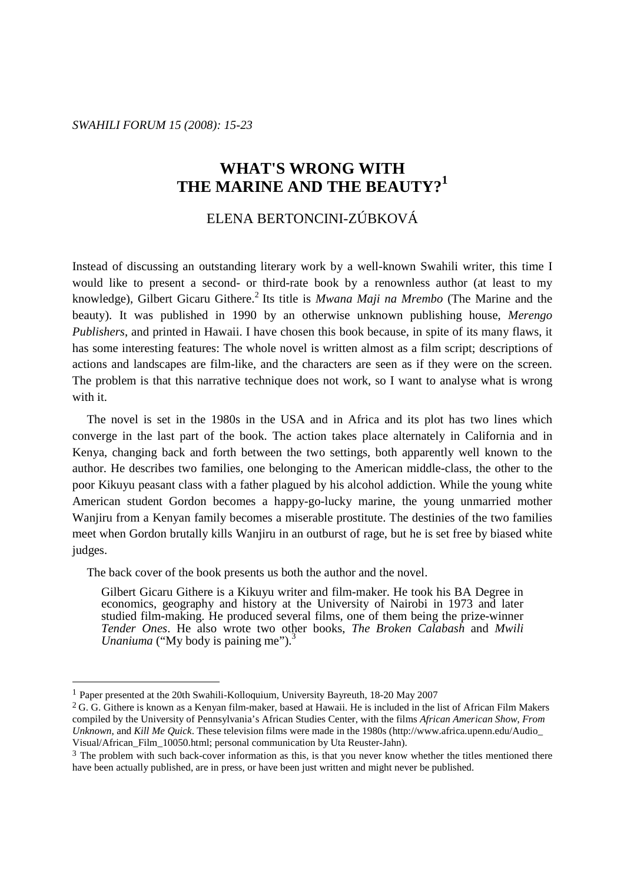*SWAHILI FORUM 15 (2008): 15-23* 

# **WHAT'S WRONG WITH THE MARINE AND THE BEAUTY?<sup>1</sup>**

## ELENA BERTONCINI-ZÚBKOVÁ

Instead of discussing an outstanding literary work by a well-known Swahili writer, this time I would like to present a second- or third-rate book by a renownless author (at least to my knowledge), Gilbert Gicaru Githere.<sup>2</sup> Its title is *Mwana Maji na Mrembo* (The Marine and the beauty). It was published in 1990 by an otherwise unknown publishing house, *Merengo Publishers*, and printed in Hawaii. I have chosen this book because, in spite of its many flaws, it has some interesting features: The whole novel is written almost as a film script; descriptions of actions and landscapes are film-like, and the characters are seen as if they were on the screen. The problem is that this narrative technique does not work, so I want to analyse what is wrong with it.

 The novel is set in the 1980s in the USA and in Africa and its plot has two lines which converge in the last part of the book. The action takes place alternately in California and in Kenya, changing back and forth between the two settings, both apparently well known to the author. He describes two families, one belonging to the American middle-class, the other to the poor Kikuyu peasant class with a father plagued by his alcohol addiction. While the young white American student Gordon becomes a happy-go-lucky marine, the young unmarried mother Wanjiru from a Kenyan family becomes a miserable prostitute. The destinies of the two families meet when Gordon brutally kills Wanjiru in an outburst of rage, but he is set free by biased white judges.

The back cover of the book presents us both the author and the novel.

Gilbert Gicaru Githere is a Kikuyu writer and film-maker. He took his BA Degree in economics, geography and history at the University of Nairobi in 1973 and later studied film-making. He produced several films, one of them being the prize-winner *Tender Ones*. He also wrote two other books, *The Broken Calabash* and *Mwili Unaniuma* ("My body is paining me").<sup>3</sup>

 $\overline{a}$ 

<sup>1</sup> Paper presented at the 20th Swahili-Kolloquium, University Bayreuth, 18-20 May 2007

 $2$  G. G. Githere is known as a Kenyan film-maker, based at Hawaii. He is included in the list of African Film Makers compiled by the University of Pennsylvania's African Studies Center, with the films *African American Show*, *From Unknown*, and *Kill Me Quick*. These television films were made in the 1980s (http://www.africa.upenn.edu/Audio\_ Visual/African\_Film\_10050.html; personal communication by Uta Reuster-Jahn).

 $3$  The problem with such back-cover information as this, is that you never know whether the titles mentioned there have been actually published, are in press, or have been just written and might never be published.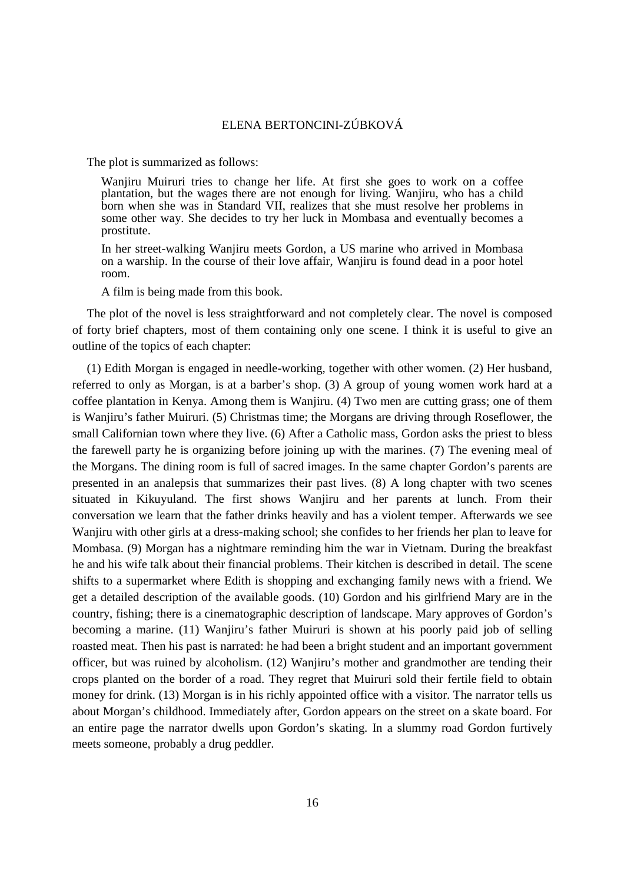The plot is summarized as follows:

Wanjiru Muiruri tries to change her life. At first she goes to work on a coffee plantation, but the wages there are not enough for living. Wanjiru, who has a child born when she was in Standard VII, realizes that she must resolve her problems in some other way. She decides to try her luck in Mombasa and eventually becomes a prostitute.

In her street-walking Wanjiru meets Gordon, a US marine who arrived in Mombasa on a warship. In the course of their love affair, Wanjiru is found dead in a poor hotel room.

A film is being made from this book.

 The plot of the novel is less straightforward and not completely clear. The novel is composed of forty brief chapters, most of them containing only one scene. I think it is useful to give an outline of the topics of each chapter:

 (1) Edith Morgan is engaged in needle-working, together with other women. (2) Her husband, referred to only as Morgan, is at a barber's shop. (3) A group of young women work hard at a coffee plantation in Kenya. Among them is Wanjiru. (4) Two men are cutting grass; one of them is Wanjiru's father Muiruri. (5) Christmas time; the Morgans are driving through Roseflower, the small Californian town where they live. (6) After a Catholic mass, Gordon asks the priest to bless the farewell party he is organizing before joining up with the marines. (7) The evening meal of the Morgans. The dining room is full of sacred images. In the same chapter Gordon's parents are presented in an analepsis that summarizes their past lives. (8) A long chapter with two scenes situated in Kikuyuland. The first shows Wanjiru and her parents at lunch. From their conversation we learn that the father drinks heavily and has a violent temper. Afterwards we see Wanjiru with other girls at a dress-making school; she confides to her friends her plan to leave for Mombasa. (9) Morgan has a nightmare reminding him the war in Vietnam. During the breakfast he and his wife talk about their financial problems. Their kitchen is described in detail. The scene shifts to a supermarket where Edith is shopping and exchanging family news with a friend. We get a detailed description of the available goods. (10) Gordon and his girlfriend Mary are in the country, fishing; there is a cinematographic description of landscape. Mary approves of Gordon's becoming a marine. (11) Wanjiru's father Muiruri is shown at his poorly paid job of selling roasted meat. Then his past is narrated: he had been a bright student and an important government officer, but was ruined by alcoholism. (12) Wanjiru's mother and grandmother are tending their crops planted on the border of a road. They regret that Muiruri sold their fertile field to obtain money for drink. (13) Morgan is in his richly appointed office with a visitor. The narrator tells us about Morgan's childhood. Immediately after, Gordon appears on the street on a skate board. For an entire page the narrator dwells upon Gordon's skating. In a slummy road Gordon furtively meets someone, probably a drug peddler.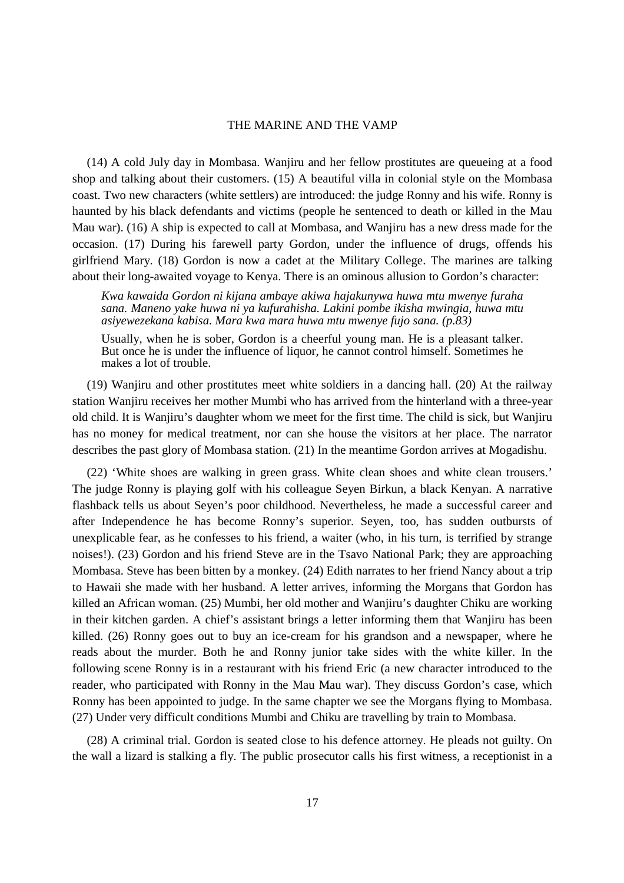(14) A cold July day in Mombasa. Wanjiru and her fellow prostitutes are queueing at a food shop and talking about their customers. (15) A beautiful villa in colonial style on the Mombasa coast. Two new characters (white settlers) are introduced: the judge Ronny and his wife. Ronny is haunted by his black defendants and victims (people he sentenced to death or killed in the Mau Mau war). (16) A ship is expected to call at Mombasa, and Wanjiru has a new dress made for the occasion. (17) During his farewell party Gordon, under the influence of drugs, offends his girlfriend Mary. (18) Gordon is now a cadet at the Military College. The marines are talking about their long-awaited voyage to Kenya. There is an ominous allusion to Gordon's character:

*Kwa kawaida Gordon ni kijana ambaye akiwa hajakunywa huwa mtu mwenye furaha sana. Maneno yake huwa ni ya kufurahisha. Lakini pombe ikisha mwingia, huwa mtu asiyewezekana kabisa. Mara kwa mara huwa mtu mwenye fujo sana. (p.83)* 

Usually, when he is sober, Gordon is a cheerful young man. He is a pleasant talker. But once he is under the influence of liquor, he cannot control himself. Sometimes he makes a lot of trouble.

 (19) Wanjiru and other prostitutes meet white soldiers in a dancing hall. (20) At the railway station Wanjiru receives her mother Mumbi who has arrived from the hinterland with a three-year old child. It is Wanjiru's daughter whom we meet for the first time. The child is sick, but Wanjiru has no money for medical treatment, nor can she house the visitors at her place. The narrator describes the past glory of Mombasa station. (21) In the meantime Gordon arrives at Mogadishu.

 (22) 'White shoes are walking in green grass. White clean shoes and white clean trousers.' The judge Ronny is playing golf with his colleague Seyen Birkun, a black Kenyan. A narrative flashback tells us about Seyen's poor childhood. Nevertheless, he made a successful career and after Independence he has become Ronny's superior. Seyen, too, has sudden outbursts of unexplicable fear, as he confesses to his friend, a waiter (who, in his turn, is terrified by strange noises!). (23) Gordon and his friend Steve are in the Tsavo National Park; they are approaching Mombasa. Steve has been bitten by a monkey. (24) Edith narrates to her friend Nancy about a trip to Hawaii she made with her husband. A letter arrives, informing the Morgans that Gordon has killed an African woman. (25) Mumbi, her old mother and Wanjiru's daughter Chiku are working in their kitchen garden. A chief's assistant brings a letter informing them that Wanjiru has been killed. (26) Ronny goes out to buy an ice-cream for his grandson and a newspaper, where he reads about the murder. Both he and Ronny junior take sides with the white killer. In the following scene Ronny is in a restaurant with his friend Eric (a new character introduced to the reader, who participated with Ronny in the Mau Mau war). They discuss Gordon's case, which Ronny has been appointed to judge. In the same chapter we see the Morgans flying to Mombasa. (27) Under very difficult conditions Mumbi and Chiku are travelling by train to Mombasa.

 (28) A criminal trial. Gordon is seated close to his defence attorney. He pleads not guilty. On the wall a lizard is stalking a fly. The public prosecutor calls his first witness, a receptionist in a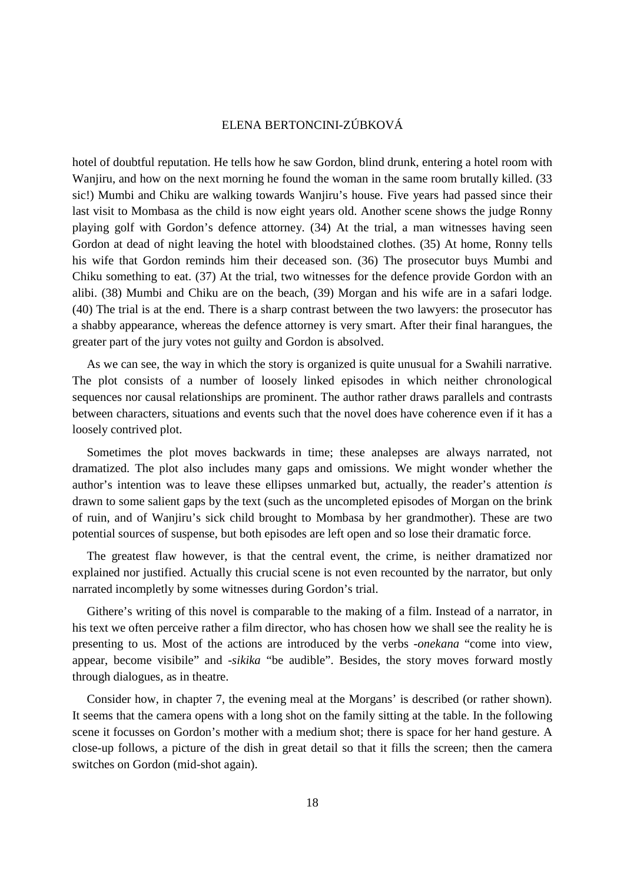hotel of doubtful reputation. He tells how he saw Gordon, blind drunk, entering a hotel room with Wanjiru, and how on the next morning he found the woman in the same room brutally killed. (33 sic!) Mumbi and Chiku are walking towards Wanjiru's house. Five years had passed since their last visit to Mombasa as the child is now eight years old. Another scene shows the judge Ronny playing golf with Gordon's defence attorney. (34) At the trial, a man witnesses having seen Gordon at dead of night leaving the hotel with bloodstained clothes. (35) At home, Ronny tells his wife that Gordon reminds him their deceased son. (36) The prosecutor buys Mumbi and Chiku something to eat. (37) At the trial, two witnesses for the defence provide Gordon with an alibi. (38) Mumbi and Chiku are on the beach, (39) Morgan and his wife are in a safari lodge. (40) The trial is at the end. There is a sharp contrast between the two lawyers: the prosecutor has a shabby appearance, whereas the defence attorney is very smart. After their final harangues, the greater part of the jury votes not guilty and Gordon is absolved.

 As we can see, the way in which the story is organized is quite unusual for a Swahili narrative. The plot consists of a number of loosely linked episodes in which neither chronological sequences nor causal relationships are prominent. The author rather draws parallels and contrasts between characters, situations and events such that the novel does have coherence even if it has a loosely contrived plot.

 Sometimes the plot moves backwards in time; these analepses are always narrated, not dramatized. The plot also includes many gaps and omissions. We might wonder whether the author's intention was to leave these ellipses unmarked but, actually, the reader's attention *is* drawn to some salient gaps by the text (such as the uncompleted episodes of Morgan on the brink of ruin, and of Wanjiru's sick child brought to Mombasa by her grandmother). These are two potential sources of suspense, but both episodes are left open and so lose their dramatic force.

 The greatest flaw however, is that the central event, the crime, is neither dramatized nor explained nor justified. Actually this crucial scene is not even recounted by the narrator, but only narrated incompletly by some witnesses during Gordon's trial.

 Githere's writing of this novel is comparable to the making of a film. Instead of a narrator, in his text we often perceive rather a film director, who has chosen how we shall see the reality he is presenting to us. Most of the actions are introduced by the verbs *-onekana* "come into view, appear, become visibile" and *-sikika* "be audible". Besides, the story moves forward mostly through dialogues, as in theatre.

 Consider how, in chapter 7, the evening meal at the Morgans' is described (or rather shown). It seems that the camera opens with a long shot on the family sitting at the table. In the following scene it focusses on Gordon's mother with a medium shot; there is space for her hand gesture. A close-up follows, a picture of the dish in great detail so that it fills the screen; then the camera switches on Gordon (mid-shot again).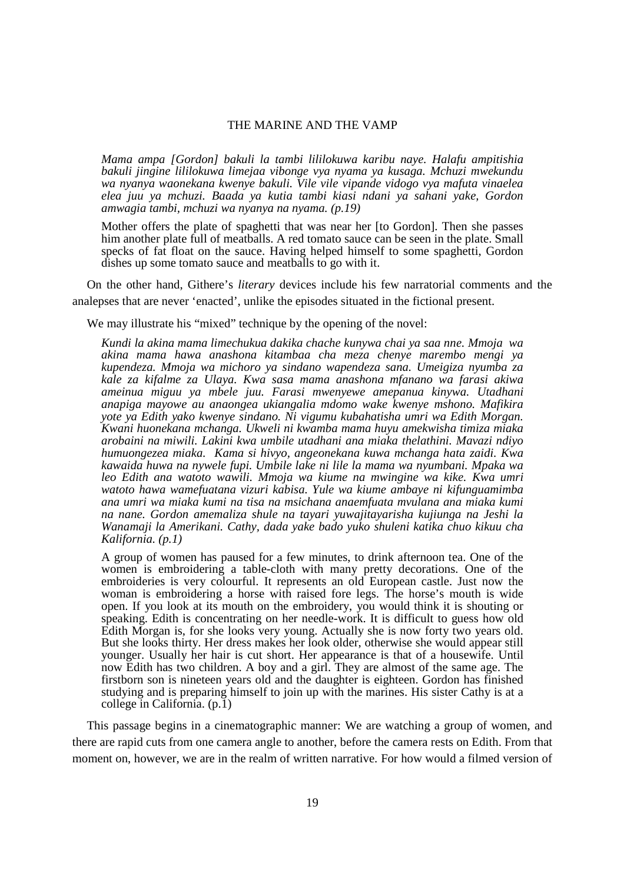*Mama ampa [Gordon] bakuli la tambi lililokuwa karibu naye. Halafu ampitishia bakuli jingine lililokuwa limejaa vibonge vya nyama ya kusaga. Mchuzi mwekundu wa nyanya waonekana kwenye bakuli. Vile vile vipande vidogo vya mafuta vinaelea elea juu ya mchuzi. Baada ya kutia tambi kiasi ndani ya sahani yake, Gordon amwagia tambi, mchuzi wa nyanya na nyama. (p.19)* 

Mother offers the plate of spaghetti that was near her [to Gordon]. Then she passes him another plate full of meatballs. A red tomato sauce can be seen in the plate. Small specks of fat float on the sauce. Having helped himself to some spaghetti, Gordon dishes up some tomato sauce and meatballs to go with it.

 On the other hand, Githere's *literary* devices include his few narratorial comments and the analepses that are never 'enacted', unlike the episodes situated in the fictional present.

We may illustrate his "mixed" technique by the opening of the novel:

*Kundi la akina mama limechukua dakika chache kunywa chai ya saa nne. Mmoja wa akina mama hawa anashona kitambaa cha meza chenye marembo mengi ya kupendeza. Mmoja wa michoro ya sindano wapendeza sana. Umeigiza nyumba za kale za kifalme za Ulaya. Kwa sasa mama anashona mfanano wa farasi akiwa ameinua miguu ya mbele juu. Farasi mwenyewe amepanua kinywa. Utadhani anapiga mayowe au anaongea ukiangalia mdomo wake kwenye mshono. Mafikira yote ya Edith yako kwenye sindano. Ni vigumu kubahatisha umri wa Edith Morgan. Kwani huonekana mchanga. Ukweli ni kwamba mama huyu amekwisha timiza miaka arobaini na miwili. Lakini kwa umbile utadhani ana miaka thelathini. Mavazi ndiyo humuongezea miaka. Kama si hivyo, angeonekana kuwa mchanga hata zaidi. Kwa kawaida huwa na nywele fupi. Umbile lake ni lile la mama wa nyumbani. Mpaka wa leo Edith ana watoto wawili. Mmoja wa kiume na mwingine wa kike. Kwa umri watoto hawa wamefuatana vizuri kabisa. Yule wa kiume ambaye ni kifunguamimba ana umri wa miaka kumi na tisa na msichana anaemfuata mvulana ana miaka kumi na nane. Gordon amemaliza shule na tayari yuwajitayarisha kujiunga na Jeshi la Wanamaji la Amerikani. Cathy, dada yake bado yuko shuleni katika chuo kikuu cha Kalifornia. (p.1)* 

A group of women has paused for a few minutes, to drink afternoon tea. One of the women is embroidering a table-cloth with many pretty decorations. One of the embroideries is very colourful. It represents an old European castle. Just now the woman is embroidering a horse with raised fore legs. The horse's mouth is wide open. If you look at its mouth on the embroidery, you would think it is shouting or speaking. Edith is concentrating on her needle-work. It is difficult to guess how old Edith Morgan is, for she looks very young. Actually she is now forty two years old. But she looks thirty. Her dress makes her look older, otherwise she would appear still younger. Usually her hair is cut short. Her appearance is that of a housewife. Until now Edith has two children. A boy and a girl. They are almost of the same age. The firstborn son is nineteen years old and the daughter is eighteen. Gordon has finished studying and is preparing himself to join up with the marines. His sister Cathy is at a college in California. (p.1)

 This passage begins in a cinematographic manner: We are watching a group of women, and there are rapid cuts from one camera angle to another, before the camera rests on Edith. From that moment on, however, we are in the realm of written narrative. For how would a filmed version of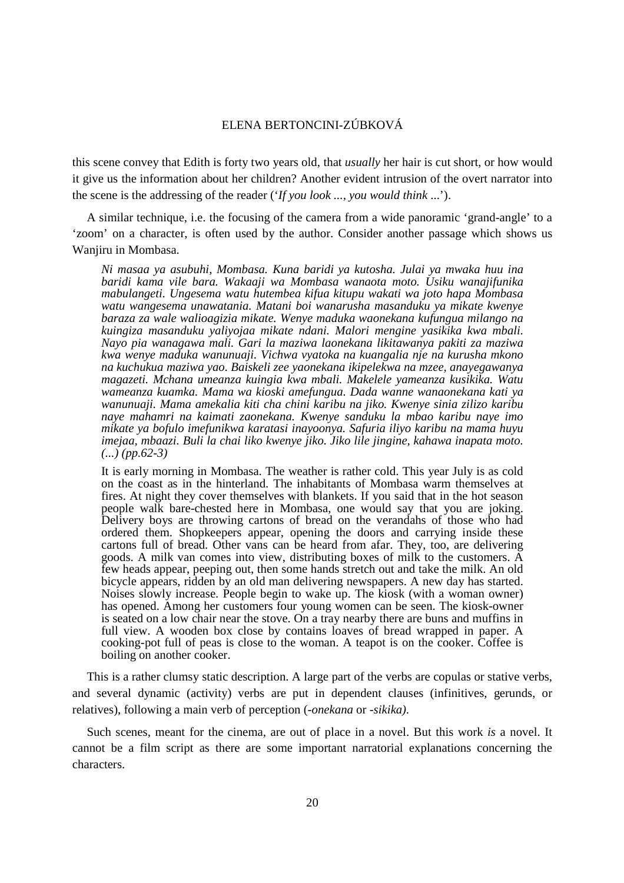this scene convey that Edith is forty two years old, that *usually* her hair is cut short, or how would it give us the information about her children? Another evident intrusion of the overt narrator into the scene is the addressing of the reader ('*If you look ..., you would think* ...').

 A similar technique, i.e. the focusing of the camera from a wide panoramic 'grand-angle' to a 'zoom' on a character, is often used by the author. Consider another passage which shows us Wanjiru in Mombasa.

*Ni masaa ya asubuhi, Mombasa. Kuna baridi ya kutosha. Julai ya mwaka huu ina baridi kama vile bara. Wakaaji wa Mombasa wanaota moto. Usiku wanajifunika mabulangeti. Ungesema watu hutembea kifua kitupu wakati wa joto hapa Mombasa watu wangesema unawatania. Matani boi wanarusha masanduku ya mikate kwenye baraza za wale walioagizia mikate. Wenye maduka waonekana kufungua milango na kuingiza masanduku yaliyojaa mikate ndani. Malori mengine yasikika kwa mbali. Nayo pia wanagawa mali. Gari la maziwa laonekana likitawanya pakiti za maziwa kwa wenye maduka wanunuaji. Vichwa vyatoka na kuangalia nje na kurusha mkono na kuchukua maziwa yao. Baiskeli zee yaonekana ikipelekwa na mzee, anayegawanya magazeti. Mchana umeanza kuingia kwa mbali. Makelele yameanza kusikika. Watu wameanza kuamka. Mama wa kioski amefungua. Dada wanne wanaonekana kati ya wanunuaji. Mama amekalia kiti cha chini karibu na jiko. Kwenye sinia zilizo karibu naye mahamri na kaimati zaonekana. Kwenye sanduku la mbao karibu naye imo mikate ya bofulo imefunikwa karatasi inayoonya. Safuria iliyo karibu na mama huyu imejaa, mbaazi. Buli la chai liko kwenye jiko. Jiko lile jingine, kahawa inapata moto. (...) (pp.62-3)* 

It is early morning in Mombasa. The weather is rather cold. This year July is as cold on the coast as in the hinterland. The inhabitants of Mombasa warm themselves at fires. At night they cover themselves with blankets. If you said that in the hot season people walk bare-chested here in Mombasa, one would say that you are joking. Delivery boys are throwing cartons of bread on the verandahs of those who had ordered them. Shopkeepers appear, opening the doors and carrying inside these cartons full of bread. Other vans can be heard from afar. They, too, are delivering goods. A milk van comes into view, distributing boxes of milk to the customers. A few heads appear, peeping out, then some hands stretch out and take the milk. An old bicycle appears, ridden by an old man delivering newspapers. A new day has started. Noises slowly increase. People begin to wake up. The kiosk (with a woman owner) has opened. Among her customers four young women can be seen. The kiosk-owner is seated on a low chair near the stove. On a tray nearby there are buns and muffins in full view. A wooden box close by contains loaves of bread wrapped in paper. A cooking-pot full of peas is close to the woman. A teapot is on the cooker. Coffee is boiling on another cooker.

 This is a rather clumsy static description. A large part of the verbs are copulas or stative verbs, and several dynamic (activity) verbs are put in dependent clauses (infinitives, gerunds, or relatives), following a main verb of perception (*-onekana* or *-sikika).* 

 Such scenes, meant for the cinema, are out of place in a novel. But this work *is* a novel. It cannot be a film script as there are some important narratorial explanations concerning the characters.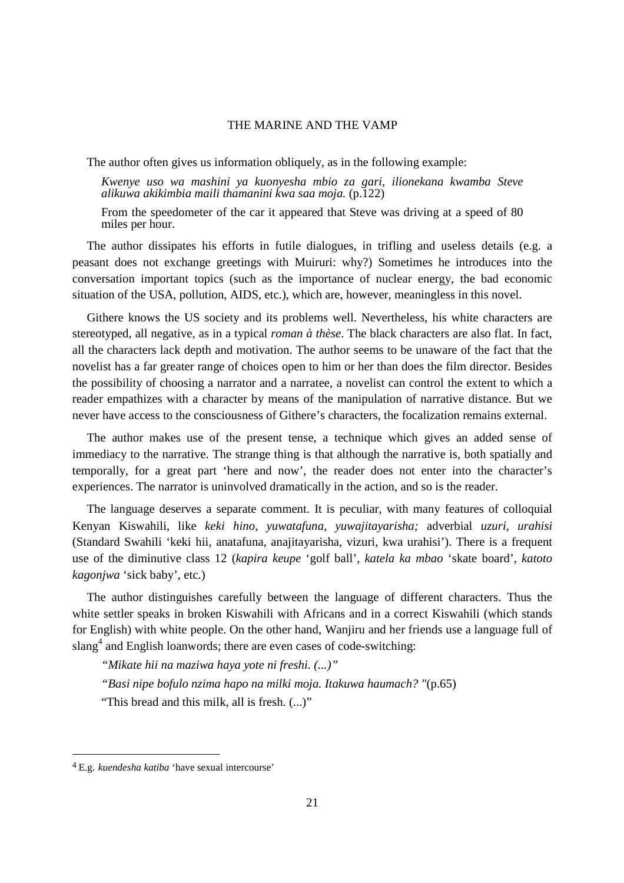The author often gives us information obliquely, as in the following example:

*Kwenye uso wa mashini ya kuonyesha mbio za gari, ilionekana kwamba Steve alikuwa akikimbia maili thamanini kwa saa moja.* (p.122)

From the speedometer of the car it appeared that Steve was driving at a speed of 80 miles per hour.

 The author dissipates his efforts in futile dialogues, in trifling and useless details (e.g. a peasant does not exchange greetings with Muiruri: why?) Sometimes he introduces into the conversation important topics (such as the importance of nuclear energy, the bad economic situation of the USA, pollution, AIDS, etc.), which are, however, meaningless in this novel.

 Githere knows the US society and its problems well. Nevertheless, his white characters are stereotyped, all negative, as in a typical *roman à thèse*. The black characters are also flat. In fact, all the characters lack depth and motivation. The author seems to be unaware of the fact that the novelist has a far greater range of choices open to him or her than does the film director. Besides the possibility of choosing a narrator and a narratee, a novelist can control the extent to which a reader empathizes with a character by means of the manipulation of narrative distance. But we never have access to the consciousness of Githere's characters, the focalization remains external.

 The author makes use of the present tense, a technique which gives an added sense of immediacy to the narrative. The strange thing is that although the narrative is, both spatially and temporally, for a great part 'here and now', the reader does not enter into the character's experiences. The narrator is uninvolved dramatically in the action, and so is the reader.

 The language deserves a separate comment. It is peculiar, with many features of colloquial Kenyan Kiswahili, like *keki hino*, *yuwatafuna, yuwajitayarisha;* adverbial *uzuri, urahisi* (Standard Swahili 'keki hii, anatafuna, anajitayarisha, vizuri, kwa urahisi'). There is a frequent use of the diminutive class 12 (*kapira keupe* 'golf ball', *katela ka mbao* 'skate board', *katoto kagonjwa* 'sick baby', etc.)

 The author distinguishes carefully between the language of different characters. Thus the white settler speaks in broken Kiswahili with Africans and in a correct Kiswahili (which stands for English) with white people. On the other hand, Wanjiru and her friends use a language full of slang<sup>4</sup> and English loanwords; there are even cases of code-switching:

*"Mikate hii na maziwa haya yote ni freshi. (...)" "Basi nipe bofulo nzima hapo na milki moja. Itakuwa haumach? "*(p.65) "This bread and this milk, all is fresh.  $(...)$ "

 $\overline{a}$ 

<sup>4</sup> E.g. *kuendesha katiba* 'have sexual intercourse'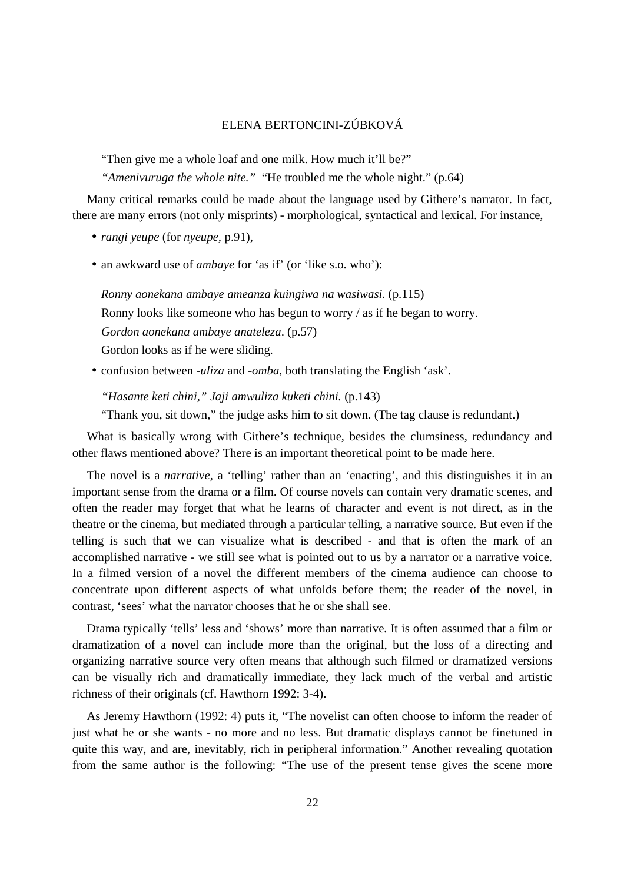"Then give me a whole loaf and one milk. How much it'll be?"

*"Amenivuruga the whole nite."* "He troubled me the whole night." (p.64)

 Many critical remarks could be made about the language used by Githere's narrator. In fact, there are many errors (not only misprints) - morphological, syntactical and lexical. For instance,

- *rangi yeupe* (for *nyeupe,* p.91),
- an awkward use of *ambaye* for 'as if' (or 'like s.o. who'):

*Ronny aonekana ambaye ameanza kuingiwa na wasiwasi.* (p.115) Ronny looks like someone who has begun to worry / as if he began to worry. *Gordon aonekana ambaye anateleza*. (p.57) Gordon looks as if he were sliding.

• confusion between *-uliza* and *-omba*, both translating the English 'ask'.

*"Hasante keti chini," Jaji amwuliza kuketi chini.* (p.143)

"Thank you, sit down," the judge asks him to sit down. (The tag clause is redundant.)

 What is basically wrong with Githere's technique, besides the clumsiness, redundancy and other flaws mentioned above? There is an important theoretical point to be made here.

 The novel is a *narrative*, a 'telling' rather than an 'enacting', and this distinguishes it in an important sense from the drama or a film. Of course novels can contain very dramatic scenes, and often the reader may forget that what he learns of character and event is not direct, as in the theatre or the cinema, but mediated through a particular telling, a narrative source. But even if the telling is such that we can visualize what is described - and that is often the mark of an accomplished narrative - we still see what is pointed out to us by a narrator or a narrative voice. In a filmed version of a novel the different members of the cinema audience can choose to concentrate upon different aspects of what unfolds before them; the reader of the novel, in contrast, 'sees' what the narrator chooses that he or she shall see.

 Drama typically 'tells' less and 'shows' more than narrative. It is often assumed that a film or dramatization of a novel can include more than the original, but the loss of a directing and organizing narrative source very often means that although such filmed or dramatized versions can be visually rich and dramatically immediate, they lack much of the verbal and artistic richness of their originals (cf. Hawthorn 1992: 3-4).

 As Jeremy Hawthorn (1992: 4) puts it, "The novelist can often choose to inform the reader of just what he or she wants - no more and no less. But dramatic displays cannot be finetuned in quite this way, and are, inevitably, rich in peripheral information." Another revealing quotation from the same author is the following: "The use of the present tense gives the scene more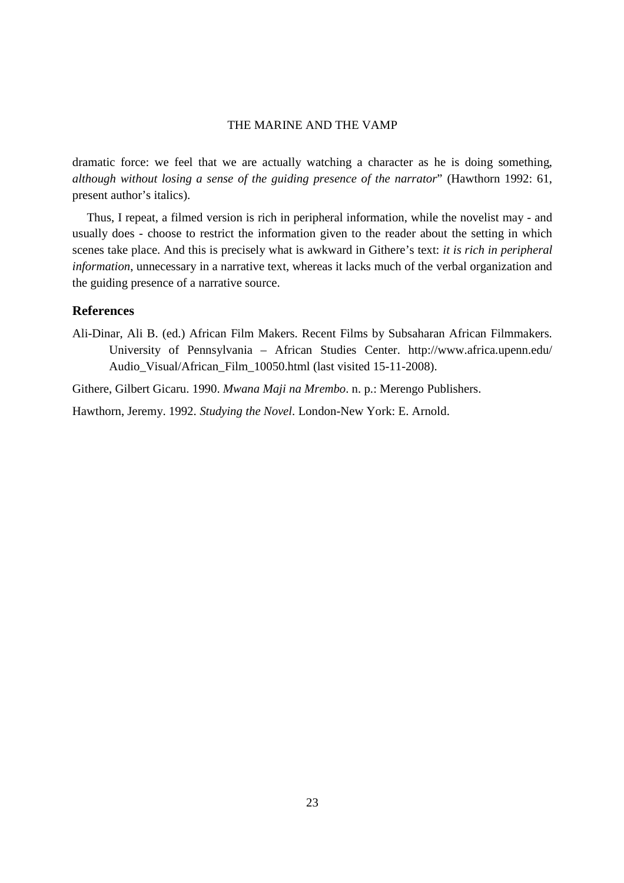dramatic force: we feel that we are actually watching a character as he is doing something, *although without losing a sense of the guiding presence of the narrator*" (Hawthorn 1992: 61, present author's italics).

 Thus, I repeat, a filmed version is rich in peripheral information, while the novelist may - and usually does - choose to restrict the information given to the reader about the setting in which scenes take place. And this is precisely what is awkward in Githere's text: *it is rich in peripheral information*, unnecessary in a narrative text, whereas it lacks much of the verbal organization and the guiding presence of a narrative source.

#### **References**

Ali-Dinar, Ali B. (ed.) African Film Makers. Recent Films by Subsaharan African Filmmakers. University of Pennsylvania – African Studies Center. http://www.africa.upenn.edu/ Audio Visual/African Film 10050.html (last visited 15-11-2008).

Githere, Gilbert Gicaru. 1990. *Mwana Maji na Mrembo*. n. p.: Merengo Publishers.

Hawthorn, Jeremy. 1992. *Studying the Novel*. London-New York: E. Arnold.